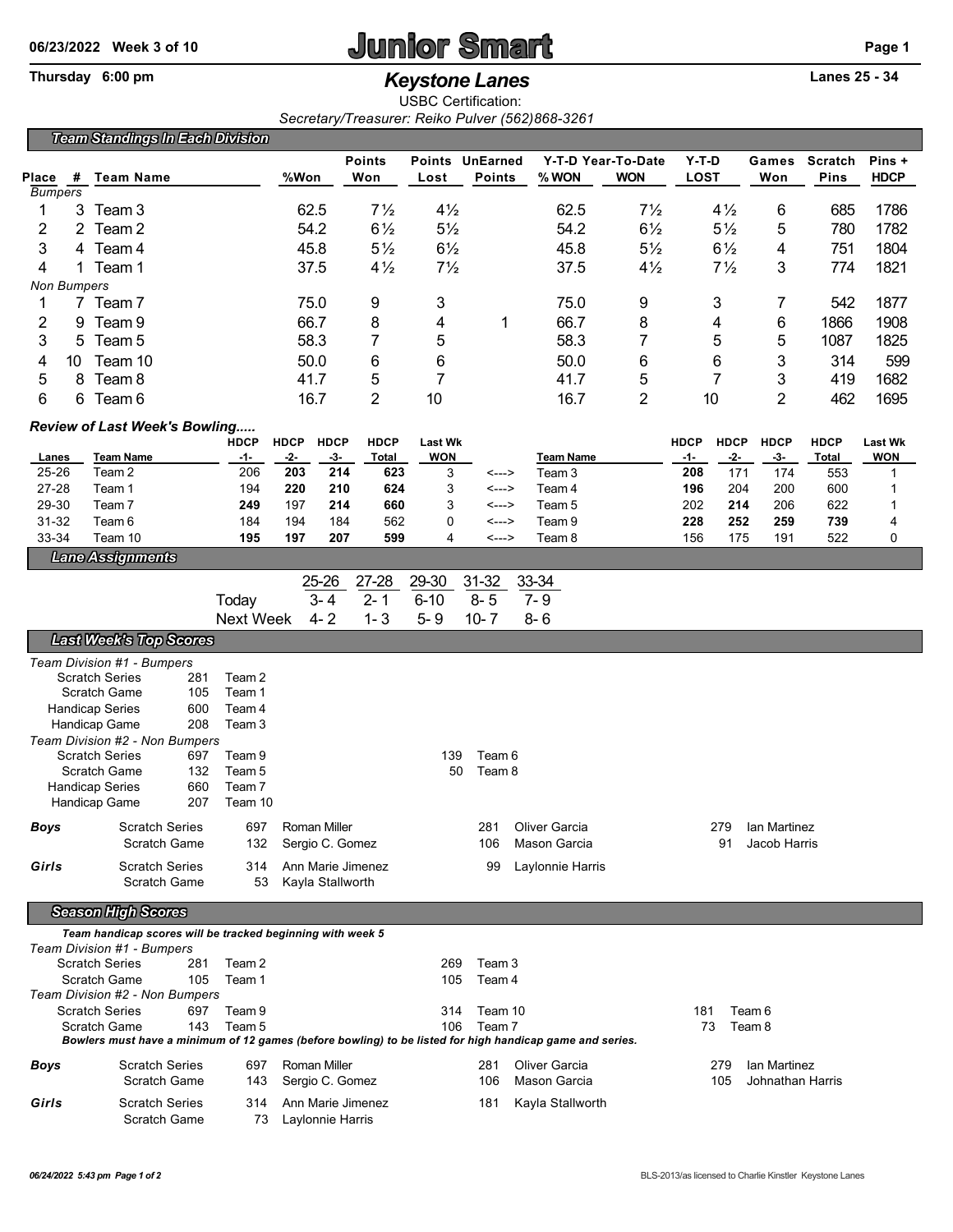## **06/23/2022 Week 3 of 10 Junior Smart Page 1**

## Thursday 6:00 pm *Keystone Lanes* **Lanes 25 - 34**

USBC Certification: *Secretary/Treasurer: Reiko Pulver (562)868-3261*

| <b>Team Standings In Each Division</b>                                                                                                                                                    |                       |                                                                                                                                 |                                 |                   |                   |                |                |                     |                             |                               |             |                  |                  |              |             |  |  |  |
|-------------------------------------------------------------------------------------------------------------------------------------------------------------------------------------------|-----------------------|---------------------------------------------------------------------------------------------------------------------------------|---------------------------------|-------------------|-------------------|----------------|----------------|---------------------|-----------------------------|-------------------------------|-------------|------------------|------------------|--------------|-------------|--|--|--|
|                                                                                                                                                                                           |                       |                                                                                                                                 |                                 |                   |                   | <b>Points</b>  |                | Points UnEarned     |                             | Y-T-D Year-To-Date            | $Y-T-D$     |                  | Games            | Scratch      | Pins +      |  |  |  |
| <b>Place</b><br><b>Bumpers</b>                                                                                                                                                            | #                     | <b>Team Name</b>                                                                                                                |                                 | %Won              |                   | Won            | Lost           | <b>Points</b>       | % WON                       | <b>WON</b>                    | <b>LOST</b> |                  | Won              | <b>Pins</b>  | <b>HDCP</b> |  |  |  |
| 1                                                                                                                                                                                         |                       | 3 Team 3                                                                                                                        |                                 | 62.5              |                   | $7\frac{1}{2}$ | $4\frac{1}{2}$ |                     | 62.5                        | $7\frac{1}{2}$                |             | $4\frac{1}{2}$   | 6                | 685          | 1786        |  |  |  |
| 2                                                                                                                                                                                         |                       | 2 Team 2                                                                                                                        |                                 | 54.2              |                   | $6\frac{1}{2}$ | $5\frac{1}{2}$ |                     | 54.2                        | $6\frac{1}{2}$                |             | $5\frac{1}{2}$   | 5                | 780          | 1782        |  |  |  |
| 3                                                                                                                                                                                         |                       | 4 Team 4                                                                                                                        |                                 | 45.8              |                   | $5\frac{1}{2}$ | $6\frac{1}{2}$ |                     | 45.8                        | $5\frac{1}{2}$                |             | $6\frac{1}{2}$   | 4                | 751          | 1804        |  |  |  |
| 4                                                                                                                                                                                         |                       | 1 Team 1                                                                                                                        |                                 | 37.5              |                   | $4\frac{1}{2}$ | $7\frac{1}{2}$ |                     | 37.5                        | $4\frac{1}{2}$                |             | $7\frac{1}{2}$   | 3                | 774          | 1821        |  |  |  |
| <b>Non Bumpers</b>                                                                                                                                                                        |                       |                                                                                                                                 |                                 |                   |                   |                |                |                     |                             |                               |             |                  |                  |              |             |  |  |  |
| 1                                                                                                                                                                                         |                       | 7 Team 7                                                                                                                        |                                 | 75.0              |                   | 9              | 3              |                     | 75.0                        | 9                             |             | 3                | 7                | 542          | 1877        |  |  |  |
| $\overline{c}$                                                                                                                                                                            |                       | 9 Team 9                                                                                                                        |                                 | 66.7              |                   | 8              | 4              | 1                   | 66.7                        | 8                             |             | 4                | 6                | 1866         | 1908        |  |  |  |
| 3                                                                                                                                                                                         | 5                     | Team 5                                                                                                                          |                                 | 58.3              |                   | 7              | 5              |                     | 58.3                        | $\overline{7}$                |             | 5                | 5                | 1087         | 1825        |  |  |  |
| 4                                                                                                                                                                                         | 10<br>8               | Team 10<br>Team <sub>8</sub>                                                                                                    |                                 | 50.0<br>41.7      |                   | 6<br>5         | 6              |                     | 50.0<br>41.7                | 6                             | 6<br>7      |                  | 3                | 314<br>419   | 599<br>1682 |  |  |  |
| 5<br>6                                                                                                                                                                                    | 6                     | Team 6                                                                                                                          |                                 |                   |                   | $\overline{2}$ | 7<br>10        |                     | 16.7                        | 5<br>2                        |             | 10               | 3<br>2           | 462          | 1695        |  |  |  |
|                                                                                                                                                                                           |                       |                                                                                                                                 |                                 | 16.7              |                   |                |                |                     |                             |                               |             |                  |                  |              |             |  |  |  |
| Review of Last Week's Bowling<br><b>HDCP</b><br><b>HDCP</b><br><b>HDCP</b><br><b>HDCP</b><br><b>HDCP</b><br><b>HDCP</b><br><b>HDCP</b><br><b>Last Wk</b><br><b>HDCP</b><br><b>Last Wk</b> |                       |                                                                                                                                 |                                 |                   |                   |                |                |                     |                             |                               |             |                  |                  |              |             |  |  |  |
| <b>Lanes</b>                                                                                                                                                                              |                       | <b>Team Name</b>                                                                                                                | -1-                             | $-2-$             | $-3-$             | <b>Total</b>   | <b>WON</b>     |                     | <b>Team Name</b>            |                               | <u>-1-</u>  | $-2-$            | $-3-$            | <b>Total</b> | <b>WON</b>  |  |  |  |
| 25-26                                                                                                                                                                                     |                       | Team <sub>2</sub>                                                                                                               | 206                             | 203               | 214               | 623            | 3              | <--->               | Team <sub>3</sub>           |                               | 208         | 171              | 174              | 553          | 1           |  |  |  |
| 27-28                                                                                                                                                                                     |                       | Team 1                                                                                                                          | 194                             | 220               | 210               | 624            | 3              | <--->               | Team 4                      |                               | 196         | 204              | 200              | 600          | 1           |  |  |  |
| 29-30<br>31-32                                                                                                                                                                            |                       | Team <sub>7</sub><br>Team 6                                                                                                     | 249<br>184                      | 197<br>194        | 214<br>184        | 660<br>562     | 3<br>0         | <---><br><--->      | Team 5<br>Team <sub>9</sub> |                               | 202<br>228  | 214<br>252       | 206<br>259       | 622<br>739   | 1<br>4      |  |  |  |
| 33-34                                                                                                                                                                                     |                       | Team 10                                                                                                                         | 195                             | 197               | 207               | 599            | 4              | <--->               | Team 8                      |                               | 156         | 175              | 191              | 522          | 0           |  |  |  |
|                                                                                                                                                                                           |                       | <b>Lane Assignments</b>                                                                                                         |                                 |                   |                   |                |                |                     |                             |                               |             |                  |                  |              |             |  |  |  |
|                                                                                                                                                                                           |                       |                                                                                                                                 |                                 |                   | 25-26             | 27-28          | 29-30          | $31 - 32$           | 33-34                       |                               |             |                  |                  |              |             |  |  |  |
|                                                                                                                                                                                           |                       |                                                                                                                                 | Today                           |                   | $3 - 4$           | $2 - 1$        | $6 - 10$       | $8 - 5$             | $7 - 9$                     |                               |             |                  |                  |              |             |  |  |  |
| $4 - 2$<br>$1 - 3$<br>$5 - 9$<br>$10 - 7$<br>$8 - 6$<br><b>Next Week</b>                                                                                                                  |                       |                                                                                                                                 |                                 |                   |                   |                |                |                     |                             |                               |             |                  |                  |              |             |  |  |  |
| <b>Last Week's Top Scores</b>                                                                                                                                                             |                       |                                                                                                                                 |                                 |                   |                   |                |                |                     |                             |                               |             |                  |                  |              |             |  |  |  |
|                                                                                                                                                                                           |                       | Team Division #1 - Bumpers                                                                                                      |                                 |                   |                   |                |                |                     |                             |                               |             |                  |                  |              |             |  |  |  |
|                                                                                                                                                                                           |                       | <b>Scratch Series</b><br>281                                                                                                    | Team 2                          |                   |                   |                |                |                     |                             |                               |             |                  |                  |              |             |  |  |  |
| <b>Scratch Game</b><br>105<br><b>Handicap Series</b><br>600                                                                                                                               |                       | Team 1<br>Team 4                                                                                                                |                                 |                   |                   |                |                |                     |                             |                               |             |                  |                  |              |             |  |  |  |
|                                                                                                                                                                                           |                       | 208<br>Handicap Game                                                                                                            | Team <sub>3</sub>               |                   |                   |                |                |                     |                             |                               |             |                  |                  |              |             |  |  |  |
|                                                                                                                                                                                           |                       | Team Division #2 - Non Bumpers                                                                                                  |                                 |                   |                   |                |                |                     |                             |                               |             |                  |                  |              |             |  |  |  |
| <b>Scratch Series</b><br>697<br>Scratch Game<br>132                                                                                                                                       |                       |                                                                                                                                 | Team 9<br>Team 5                |                   |                   |                | 139<br>50      | Team 6<br>Team 8    |                             |                               |             |                  |                  |              |             |  |  |  |
|                                                                                                                                                                                           |                       | <b>Handicap Series</b><br>660                                                                                                   | Team 7                          |                   |                   |                |                |                     |                             |                               |             |                  |                  |              |             |  |  |  |
|                                                                                                                                                                                           |                       | 207<br>Handicap Game                                                                                                            | Team 10                         |                   |                   |                |                |                     |                             |                               |             |                  |                  |              |             |  |  |  |
| <b>Boys</b>                                                                                                                                                                               |                       | <b>Scratch Series</b>                                                                                                           |                                 | 697 Roman Miller  |                   |                |                |                     | 281 Oliver Garcia           |                               |             |                  | 279 Ian Martinez |              |             |  |  |  |
|                                                                                                                                                                                           | <b>Scratch Game</b>   |                                                                                                                                 | 132                             | Sergio C. Gomez   |                   |                |                | 106                 | Mason Garcia                |                               | 91          |                  | Jacob Harris     |              |             |  |  |  |
| Girls                                                                                                                                                                                     | <b>Scratch Series</b> |                                                                                                                                 | 314                             | Ann Marie Jimenez |                   |                |                | 99                  | Laylonnie Harris            |                               |             |                  |                  |              |             |  |  |  |
|                                                                                                                                                                                           |                       | <b>Scratch Game</b>                                                                                                             | 53                              |                   | Kayla Stallworth  |                |                |                     |                             |                               |             |                  |                  |              |             |  |  |  |
| <b>Season High Scores</b>                                                                                                                                                                 |                       |                                                                                                                                 |                                 |                   |                   |                |                |                     |                             |                               |             |                  |                  |              |             |  |  |  |
| Team handicap scores will be tracked beginning with week 5                                                                                                                                |                       |                                                                                                                                 |                                 |                   |                   |                |                |                     |                             |                               |             |                  |                  |              |             |  |  |  |
|                                                                                                                                                                                           |                       | Team Division #1 - Bumpers                                                                                                      |                                 |                   |                   |                | 269            | Team 3              |                             |                               |             |                  |                  |              |             |  |  |  |
| <b>Scratch Series</b><br>Team 2<br>281<br>Scratch Game<br>105<br>Team 1                                                                                                                   |                       |                                                                                                                                 |                                 |                   |                   |                | Team 4         |                     |                             |                               |             |                  |                  |              |             |  |  |  |
|                                                                                                                                                                                           |                       | Team Division #2 - Non Bumpers                                                                                                  |                                 |                   |                   |                | 105            |                     |                             |                               |             |                  |                  |              |             |  |  |  |
|                                                                                                                                                                                           |                       | <b>Scratch Series</b><br>697                                                                                                    | Team 9                          |                   |                   |                |                | Team 10<br>314      |                             | 181<br>Team 6<br>73<br>Team 8 |             |                  |                  |              |             |  |  |  |
|                                                                                                                                                                                           |                       | Scratch Game<br>143<br>Bowlers must have a minimum of 12 games (before bowling) to be listed for high handicap game and series. | Team 5                          |                   |                   |                | 106            | Team 7              |                             |                               |             |                  |                  |              |             |  |  |  |
|                                                                                                                                                                                           |                       | <b>Scratch Series</b>                                                                                                           | 697                             |                   |                   |                |                | 281                 | Oliver Garcia               |                               |             | 279              | lan Martinez     |              |             |  |  |  |
| Boys<br><b>Scratch Game</b>                                                                                                                                                               |                       | 143                                                                                                                             | Roman Miller<br>Sergio C. Gomez |                   |                   |                | 106            | Mason Garcia<br>105 |                             |                               |             | Johnathan Harris |                  |              |             |  |  |  |
| Girls                                                                                                                                                                                     |                       | <b>Scratch Series</b>                                                                                                           | 314                             |                   | Ann Marie Jimenez |                |                | 181                 | Kayla Stallworth            |                               |             |                  |                  |              |             |  |  |  |
| <b>Scratch Game</b>                                                                                                                                                                       |                       |                                                                                                                                 | 73                              |                   | Laylonnie Harris  |                |                |                     |                             |                               |             |                  |                  |              |             |  |  |  |